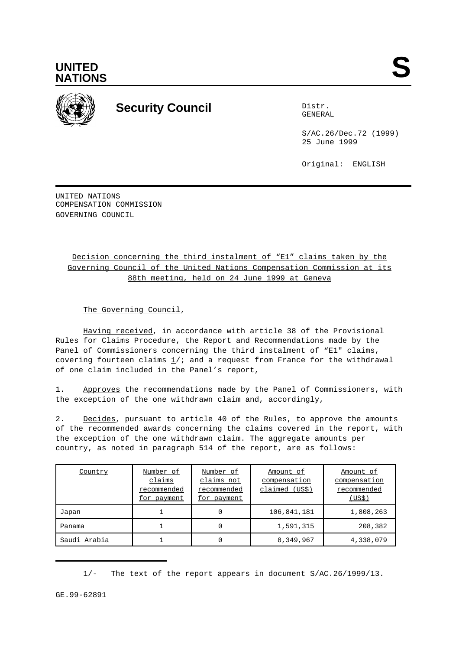



## **Security Council** Distribution of Distribution of Distribution of Distribution of Distribution of Distribution of Distribution of Distribution of Distribution of Distribution of Distribution of Distribution of Distributio

GENERAL

S/AC.26/Dec.72 (1999) 25 June 1999

Original: ENGLISH

UNITED NATIONS COMPENSATION COMMISSION GOVERNING COUNCIL

## Decision concerning the third instalment of "E1" claims taken by the Governing Council of the United Nations Compensation Commission at its 88th meeting, held on 24 June 1999 at Geneva

The Governing Council,

Having received, in accordance with article 38 of the Provisional Rules for Claims Procedure, the Report and Recommendations made by the Panel of Commissioners concerning the third instalment of "E1" claims, covering fourteen claims  $\frac{1}{i}$  and a request from France for the withdrawal of one claim included in the Panel's report,

1. Approves the recommendations made by the Panel of Commissioners, with the exception of the one withdrawn claim and, accordingly,

2. Decides, pursuant to article 40 of the Rules, to approve the amounts of the recommended awards concerning the claims covered in the report, with the exception of the one withdrawn claim. The aggregate amounts per country, as noted in paragraph 514 of the report, are as follows:

| Country      | Number of<br>claims<br>recommended<br>for payment | Number of<br>claims not<br>recommended<br>for payment | Amount of<br>compensation<br>claimed (US\$) | Amount of<br>compensation<br>recommended<br>(US\$) |
|--------------|---------------------------------------------------|-------------------------------------------------------|---------------------------------------------|----------------------------------------------------|
| Japan        |                                                   | 0                                                     | 106,841,181                                 | 1,808,263                                          |
| Panama       |                                                   | 0                                                     | 1,591,315                                   | 208,382                                            |
| Saudi Arabia |                                                   | 0                                                     | 8,349,967                                   | 4,338,079                                          |

 $1/-$  The text of the report appears in document S/AC.26/1999/13.

GE.99-62891